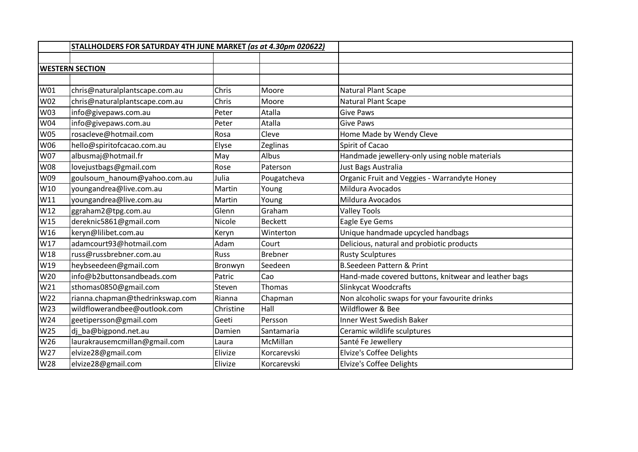|            | STALLHOLDERS FOR SATURDAY 4TH JUNE MARKET (as at 4.30pm 020622) |             |                |                                                      |
|------------|-----------------------------------------------------------------|-------------|----------------|------------------------------------------------------|
|            |                                                                 |             |                |                                                      |
|            | <b>WESTERN SECTION</b>                                          |             |                |                                                      |
|            |                                                                 |             |                |                                                      |
| W01        | chris@naturalplantscape.com.au                                  | Chris       | Moore          | <b>Natural Plant Scape</b>                           |
| W02        | chris@naturalplantscape.com.au                                  | Chris       | Moore          | Natural Plant Scape                                  |
| W03        | info@givepaws.com.au                                            | Peter       | Atalla         | <b>Give Paws</b>                                     |
| W04        | info@givepaws.com.au                                            | Peter       | Atalla         | <b>Give Paws</b>                                     |
| <b>W05</b> | rosacleve@hotmail.com                                           | Rosa        | Cleve          | Home Made by Wendy Cleve                             |
| W06        | hello@spiritofcacao.com.au                                      | Elyse       | Zeglinas       | Spirit of Cacao                                      |
| W07        | albusmaj@hotmail.fr                                             | May         | Albus          | Handmade jewellery-only using noble materials        |
| <b>W08</b> | lovejustbags@gmail.com                                          | Rose        | Paterson       | Just Bags Australia                                  |
| W09        | goulsoum_hanoum@yahoo.com.au                                    | Julia       | Pougatcheva    | Organic Fruit and Veggies - Warrandyte Honey         |
| W10        | youngandrea@live.com.au                                         | Martin      | Young          | Mildura Avocados                                     |
| W11        | youngandrea@live.com.au                                         | Martin      | Young          | Mildura Avocados                                     |
| W12        | ggraham2@tpg.com.au                                             | Glenn       | Graham         | <b>Valley Tools</b>                                  |
| W15        | dereknic5861@gmail.com                                          | Nicole      | <b>Beckett</b> | Eagle Eye Gems                                       |
| W16        | keryn@lilibet.com.au                                            | Keryn       | Winterton      | Unique handmade upcycled handbags                    |
| W17        | adamcourt93@hotmail.com                                         | Adam        | Court          | Delicious, natural and probiotic products            |
| W18        | russ@russbrebner.com.au                                         | <b>Russ</b> | <b>Brebner</b> | <b>Rusty Sculptures</b>                              |
| W19        | heybseedeen@gmail.com                                           | Bronwyn     | Seedeen        | <b>B.Seedeen Pattern &amp; Print</b>                 |
| W20        | info@b2buttonsandbeads.com                                      | Patric      | Cao            | Hand-made covered buttons, knitwear and leather bags |
| W21        | sthomas0850@gmail.com                                           | Steven      | Thomas         | <b>Slinkycat Woodcrafts</b>                          |
| W22        | rianna.chapman@thedrinkswap.com                                 | Rianna      | Chapman        | Non alcoholic swaps for your favourite drinks        |
| W23        | wildflowerandbee@outlook.com                                    | Christine   | Hall           | Wildflower & Bee                                     |
| W24        | geetipersson@gmail.com                                          | Geeti       | Persson        | Inner West Swedish Baker                             |
| W25        | dj_ba@bigpond.net.au                                            | Damien      | Santamaria     | Ceramic wildlife sculptures                          |
| W26        | laurakrausemcmillan@gmail.com                                   | Laura       | McMillan       | Santé Fe Jewellery                                   |
| W27        | elvize28@gmail.com                                              | Elivize     | Korcarevski    | <b>Elvize's Coffee Delights</b>                      |
| W28        | elvize28@gmail.com                                              | Elivize     | Korcarevski    | Elvize's Coffee Delights                             |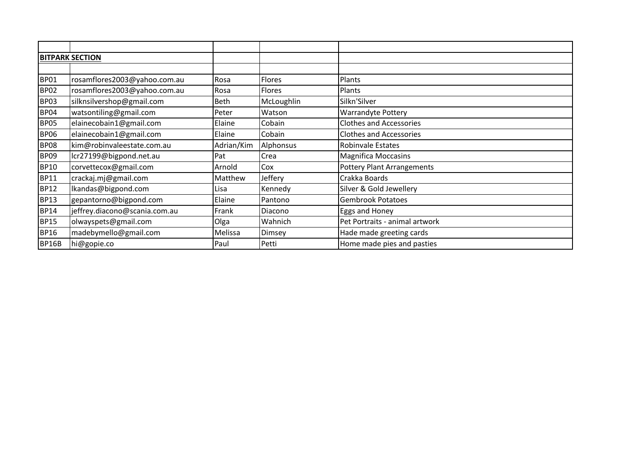|              | <b>BITPARK SECTION</b>        |            |               |                                   |
|--------------|-------------------------------|------------|---------------|-----------------------------------|
|              |                               |            |               |                                   |
| <b>BP01</b>  | rosamflores2003@yahoo.com.au  | Rosa       | Flores        | Plants                            |
| <b>BP02</b>  | rosamflores2003@yahoo.com.au  | Rosa       | <b>Flores</b> | Plants                            |
| <b>BP03</b>  | silknsilvershop@gmail.com     | Beth       | McLoughlin    | Silkn'Silver                      |
| <b>BP04</b>  | watsontiling@gmail.com        | Peter      | Watson        | <b>Warrandyte Pottery</b>         |
| <b>BP05</b>  | elainecobain1@gmail.com       | Elaine     | Cobain        | <b>Clothes and Accessories</b>    |
| <b>BP06</b>  | elainecobain1@gmail.com       | Elaine     | Cobain        | <b>Clothes and Accessories</b>    |
| <b>BP08</b>  | kim@robinvaleestate.com.au    | Adrian/Kim | Alphonsus     | <b>Robinvale Estates</b>          |
| <b>BP09</b>  | lcr27199@bigpond.net.au       | Pat        | Crea          | <b>Magnifica Moccasins</b>        |
| <b>BP10</b>  | corvettecox@gmail.com         | Arnold     | Cox           | <b>Pottery Plant Arrangements</b> |
| <b>BP11</b>  | crackaj.mj@gmail.com          | Matthew    | Jeffery       | Crakka Boards                     |
| <b>BP12</b>  | lkandas@bigpond.com           | Lisa       | Kennedy       | Silver & Gold Jewellery           |
| <b>BP13</b>  | gepantorno@bigpond.com        | Elaine     | Pantono       | <b>Gembrook Potatoes</b>          |
| <b>BP14</b>  | jeffrey.diacono@scania.com.au | Frank      | Diacono       | Eggs and Honey                    |
| <b>BP15</b>  | olwayspets@gmail.com          | Olga       | Wahnich       | Pet Portraits - animal artwork    |
| <b>BP16</b>  | madebymello@gmail.com         | Melissa    | Dimsey        | Hade made greeting cards          |
| <b>BP16B</b> | hi@gopie.co                   | Paul       | Petti         | Home made pies and pasties        |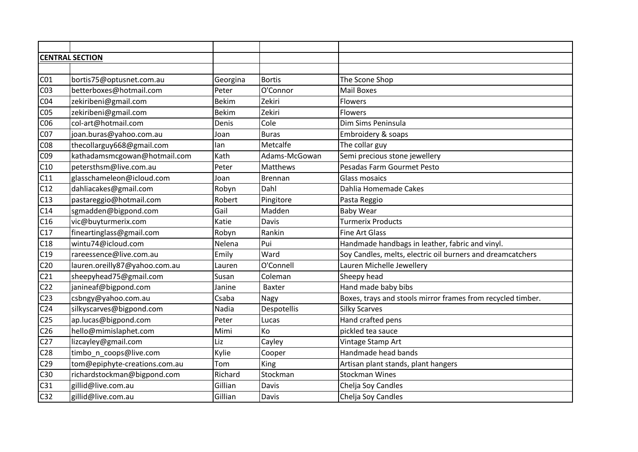| <b>CENTRAL SECTION</b> |                               |              |                |                                                             |  |
|------------------------|-------------------------------|--------------|----------------|-------------------------------------------------------------|--|
|                        |                               |              |                |                                                             |  |
| CO <sub>1</sub>        | bortis75@optusnet.com.au      | Georgina     | <b>Bortis</b>  | The Scone Shop                                              |  |
| CO <sub>3</sub>        | betterboxes@hotmail.com       | Peter        | O'Connor       | <b>Mail Boxes</b>                                           |  |
| CO <sub>4</sub>        | zekiribeni@gmail.com          | <b>Bekim</b> | Zekiri         | <b>Flowers</b>                                              |  |
| CO <sub>5</sub>        | zekiribeni@gmail.com          | <b>Bekim</b> | Zekiri         | Flowers                                                     |  |
| CO6                    | col-art@hotmail.com           | Denis        | Cole           | Dim Sims Peninsula                                          |  |
| CO <sub>7</sub>        | joan.buras@yahoo.com.au       | Joan         | <b>Buras</b>   | Embroidery & soaps                                          |  |
| CO8                    | thecollarguy668@gmail.com     | lan          | Metcalfe       | The collar guy                                              |  |
| C09                    | kathadamsmcgowan@hotmail.com  | Kath         | Adams-McGowan  | Semi precious stone jewellery                               |  |
| C10                    | petersthsm@live.com.au        | Peter        | Matthews       | Pesadas Farm Gourmet Pesto                                  |  |
| C11                    | glasschameleon@icloud.com     | Joan         | <b>Brennan</b> | <b>Glass mosaics</b>                                        |  |
| C12                    | dahliacakes@gmail.com         | Robyn        | Dahl           | Dahlia Homemade Cakes                                       |  |
| C13                    | pastareggio@hotmail.com       | Robert       | Pingitore      | Pasta Reggio                                                |  |
| C14                    | sgmadden@bigpond.com          | Gail         | Madden         | <b>Baby Wear</b>                                            |  |
| C16                    | vic@buyturmerix.com           | Katie        | Davis          | <b>Turmerix Products</b>                                    |  |
| C17                    | fineartinglass@gmail.com      | Robyn        | Rankin         | <b>Fine Art Glass</b>                                       |  |
| C18                    | wintu74@icloud.com            | Nelena       | Pui            | Handmade handbags in leather, fabric and vinyl.             |  |
| C19                    | rareessence@live.com.au       | Emily        | Ward           | Soy Candles, melts, electric oil burners and dreamcatchers  |  |
| C <sub>20</sub>        | lauren.oreilly87@yahoo.com.au | Lauren       | O'Connell      | Lauren Michelle Jewellery                                   |  |
| C <sub>21</sub>        | sheepyhead75@gmail.com        | Susan        | Coleman        | Sheepy head                                                 |  |
| C <sub>22</sub>        | janineaf@bigpond.com          | Janine       | <b>Baxter</b>  | Hand made baby bibs                                         |  |
| C <sub>23</sub>        | csbngy@yahoo.com.au           | Csaba        | Nagy           | Boxes, trays and stools mirror frames from recycled timber. |  |
| C <sub>24</sub>        | silkyscarves@bigpond.com      | Nadia        | Despotellis    | <b>Silky Scarves</b>                                        |  |
| C <sub>25</sub>        | ap.lucas@bigpond.com          | Peter        | Lucas          | Hand crafted pens                                           |  |
| C <sub>26</sub>        | hello@mimislaphet.com         | Mimi         | Ko             | pickled tea sauce                                           |  |
| C <sub>27</sub>        | lizcayley@gmail.com           | Liz          | Cayley         | Vintage Stamp Art                                           |  |
| C <sub>28</sub>        | timbo_n_coops@live.com        | Kylie        | Cooper         | Handmade head bands                                         |  |
| C <sub>29</sub>        | tom@epiphyte-creations.com.au | Tom          | King           | Artisan plant stands, plant hangers                         |  |
| C30                    | richardstockman@bigpond.com   | Richard      | Stockman       | <b>Stockman Wines</b>                                       |  |
| C31                    | gillid@live.com.au            | Gillian      | Davis          | Chelja Soy Candles                                          |  |
| C <sub>32</sub>        | gillid@live.com.au            | Gillian      | Davis          | Chelja Soy Candles                                          |  |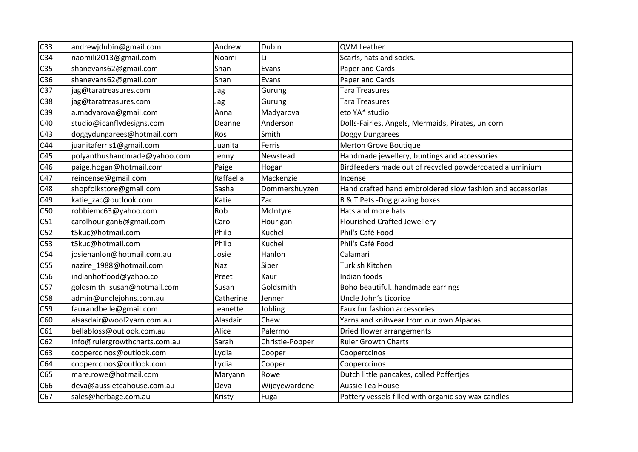| C <sub>33</sub> | andrewjdubin@gmail.com        | Andrew    | Dubin           | <b>QVM Leather</b>                                         |
|-----------------|-------------------------------|-----------|-----------------|------------------------------------------------------------|
| C <sub>34</sub> | naomili2013@gmail.com         | Noami     | Li              | Scarfs, hats and socks.                                    |
| C <sub>35</sub> | shanevans62@gmail.com         | Shan      | Evans           | Paper and Cards                                            |
| C36             | shanevans62@gmail.com         | Shan      | Evans           | Paper and Cards                                            |
| C <sub>37</sub> | jag@taratreasures.com         | Jag       | Gurung          | <b>Tara Treasures</b>                                      |
| C38             | jag@taratreasures.com         | Jag       | Gurung          | <b>Tara Treasures</b>                                      |
| C39             | a.madyarova@gmail.com         | Anna      | Madyarova       | eto YA* studio                                             |
| C40             | studio@icanflydesigns.com     | Deanne    | Anderson        | Dolls-Fairies, Angels, Mermaids, Pirates, unicorn          |
| C43             | doggydungarees@hotmail.com    | Ros       | Smith           | Doggy Dungarees                                            |
| C44             | juanitaferris1@gmail.com      | Juanita   | Ferris          | Merton Grove Boutique                                      |
| C45             | polyanthushandmade@yahoo.com  | Jenny     | Newstead        | Handmade jewellery, buntings and accessories               |
| C46             | paige.hogan@hotmail.com       | Paige     | Hogan           | Birdfeeders made out of recycled powdercoated aluminium    |
| C47             | reincense@gmail.com           | Raffaella | Mackenzie       | Incense                                                    |
| C48             | shopfolkstore@gmail.com       | Sasha     | Dommershuyzen   | Hand crafted hand embroidered slow fashion and accessories |
| C49             | katie_zac@outlook.com         | Katie     | Zac             | B & T Pets - Dog grazing boxes                             |
| C50             | robbiemc63@yahoo.com          | Rob       | McIntyre        | Hats and more hats                                         |
| C51             | carolhourigan6@gmail.com      | Carol     | Hourigan        | <b>Flourished Crafted Jewellery</b>                        |
| C52             | t5kuc@hotmail.com             | Philp     | Kuchel          | Phil's Café Food                                           |
| C53             | t5kuc@hotmail.com             | Philp     | Kuchel          | Phil's Café Food                                           |
| C54             | josiehanlon@hotmail.com.au    | Josie     | Hanlon          | Calamari                                                   |
| C55             | nazire_1988@hotmail.com       | Naz       | Siper           | Turkish Kitchen                                            |
| C56             | indianhotfood@yahoo.co        | Preet     | Kaur            | Indian foods                                               |
| C57             | goldsmith_susan@hotmail.com   | Susan     | Goldsmith       | Boho beautifulhandmade earrings                            |
| C58             | admin@unclejohns.com.au       | Catherine | Jenner          | Uncle John's Licorice                                      |
| C59             | fauxandbelle@gmail.com        | Jeanette  | Jobling         | Faux fur fashion accessories                               |
| C60             | alsasdair@wool2yarn.com.au    | Alasdair  | Chew            | Yarns and knitwear from our own Alpacas                    |
| C61             | bellabloss@outlook.com.au     | Alice     | Palermo         | Dried flower arrangements                                  |
| C62             | info@rulergrowthcharts.com.au | Sarah     | Christie-Popper | <b>Ruler Growth Charts</b>                                 |
| C63             | cooperccinos@outlook.com      | Lydia     | Cooper          | Cooperccinos                                               |
| C64             | cooperccinos@outlook.com      | Lydia     | Cooper          | Cooperccinos                                               |
| C65             | mare.rowe@hotmail.com         | Maryann   | Rowe            | Dutch little pancakes, called Poffertjes                   |
| C66             | deva@aussieteahouse.com.au    | Deva      | Wijeyewardene   | Aussie Tea House                                           |
| C67             | sales@herbage.com.au          | Kristy    | Fuga            | Pottery vessels filled with organic soy wax candles        |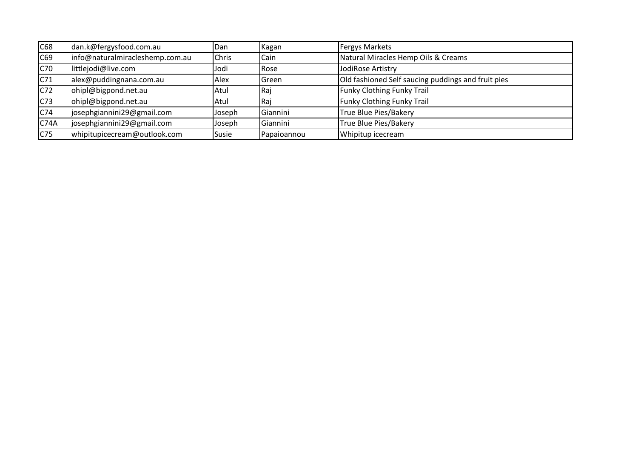| C <sub>68</sub>  | dan.k@fergysfood.com.au         | Dan    | Kagan        | <b>Fergys Markets</b>                              |
|------------------|---------------------------------|--------|--------------|----------------------------------------------------|
| $\overline{C69}$ | info@naturalmiracleshemp.com.au | Chris  | Cain         | Natural Miracles Hemp Oils & Creams                |
| C70              | littlejodi@live.com             | Jodi   | Rose         | JodiRose Artistry                                  |
| C71              | alex@puddingnana.com.au         | Alex   | <b>Green</b> | Old fashioned Self saucing puddings and fruit pies |
| C <sub>72</sub>  | ohipl@bigpond.net.au            | Atul   | Raj          | <b>Funky Clothing Funky Trail</b>                  |
| C <sub>73</sub>  | ohipl@bigpond.net.au            | Atul   | Raj          | <b>Funky Clothing Funky Trail</b>                  |
| C74              | josephgiannini29@gmail.com      | Joseph | Giannini     | True Blue Pies/Bakery                              |
| C <sub>74A</sub> | josephgiannini29@gmail.com      | Joseph | Giannini     | True Blue Pies/Bakery                              |
| C75              | whipitupicecream@outlook.com    | Susie  | Papaioannou  | Whipitup icecream                                  |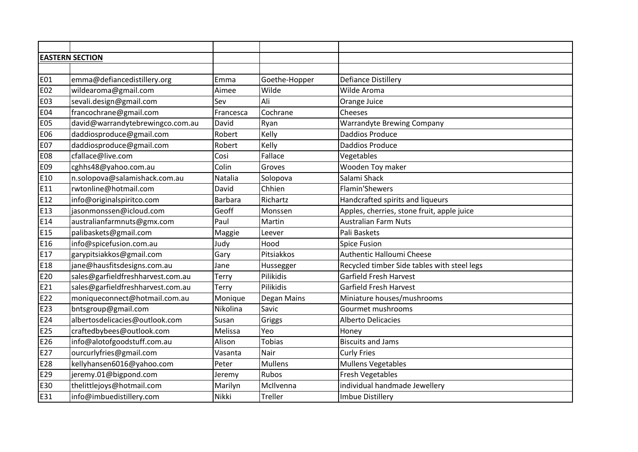| <b>EASTERN SECTION</b> |                                   |                |                |                                             |  |
|------------------------|-----------------------------------|----------------|----------------|---------------------------------------------|--|
|                        |                                   |                |                |                                             |  |
| <b>E01</b>             | emma@defiancedistillery.org       | Emma           | Goethe-Hopper  | <b>Defiance Distillery</b>                  |  |
| <b>E02</b>             | wildearoma@gmail.com              | Aimee          | Wilde          | Wilde Aroma                                 |  |
| <b>E03</b>             | sevali.design@gmail.com           | Sev            | Ali            | Orange Juice                                |  |
| <b>E04</b>             | francochrane@gmail.com            | Francesca      | Cochrane       | Cheeses                                     |  |
| <b>E05</b>             | david@warrandytebrewingco.com.au  | David          | Ryan           | <b>Warrandyte Brewing Company</b>           |  |
| <b>E06</b>             | daddiosproduce@gmail.com          | Robert         | Kelly          | <b>Daddios Produce</b>                      |  |
| <b>E07</b>             | daddiosproduce@gmail.com          | Robert         | Kelly          | <b>Daddios Produce</b>                      |  |
| <b>E08</b>             | cfallace@live.com                 | Cosi           | Fallace        | Vegetables                                  |  |
| E09                    | cghhs48@yahoo.com.au              | Colin          | Groves         | Wooden Toy maker                            |  |
| E10                    | n.solopova@salamishack.com.au     | Natalia        | Solopova       | Salami Shack                                |  |
| E11                    | rwtonline@hotmail.com             | David          | Chhien         | <b>Flamin'Shewers</b>                       |  |
| E12                    | info@originalspiritco.com         | <b>Barbara</b> | Richartz       | Handcrafted spirits and liqueurs            |  |
| E13                    | jasonmonssen@icloud.com           | Geoff          | Monssen        | Apples, cherries, stone fruit, apple juice  |  |
| E14                    | australianfarmnuts@gmx.com        | Paul           | Martin         | <b>Australian Farm Nuts</b>                 |  |
| E15                    | palibaskets@gmail.com             | Maggie         | Leever         | Pali Baskets                                |  |
| E16                    | info@spicefusion.com.au           | Judy           | Hood           | <b>Spice Fusion</b>                         |  |
| E17                    | garypitsiakkos@gmail.com          | Gary           | Pitsiakkos     | Authentic Halloumi Cheese                   |  |
| E18                    | jane@hausfitsdesigns.com.au       | Jane           | Hussegger      | Recycled timber Side tables with steel legs |  |
| E20                    | sales@garfieldfreshharvest.com.au | Terry          | Pilikidis      | <b>Garfield Fresh Harvest</b>               |  |
| E21                    | sales@garfieldfreshharvest.com.au | Terry          | Pilikidis      | Garfield Fresh Harvest                      |  |
| E22                    | moniqueconnect@hotmail.com.au     | Monique        | Degan Mains    | Miniature houses/mushrooms                  |  |
| E23                    | bntsgroup@gmail.com               | Nikolina       | Savic          | Gourmet mushrooms                           |  |
| E24                    | albertosdelicacies@outlook.com    | Susan          | Griggs         | <b>Alberto Delicacies</b>                   |  |
| E25                    | craftedbybees@outlook.com         | Melissa        | Yeo            | Honey                                       |  |
| E26                    | info@alotofgoodstuff.com.au       | Alison         | <b>Tobias</b>  | <b>Biscuits and Jams</b>                    |  |
| E27                    | ourcurlyfries@gmail.com           | Vasanta        | Nair           | <b>Curly Fries</b>                          |  |
| E28                    | kellyhansen6016@yahoo.com         | Peter          | <b>Mullens</b> | <b>Mullens Vegetables</b>                   |  |
| E29                    | jeremy.01@bigpond.com             | Jeremy         | <b>Rubos</b>   | <b>Fresh Vegetables</b>                     |  |
| E30                    | thelittlejoys@hotmail.com         | Marilyn        | McIlvenna      | individual handmade Jewellery               |  |
| E31                    | info@imbuedistillery.com          | Nikki          | Treller        | Imbue Distillery                            |  |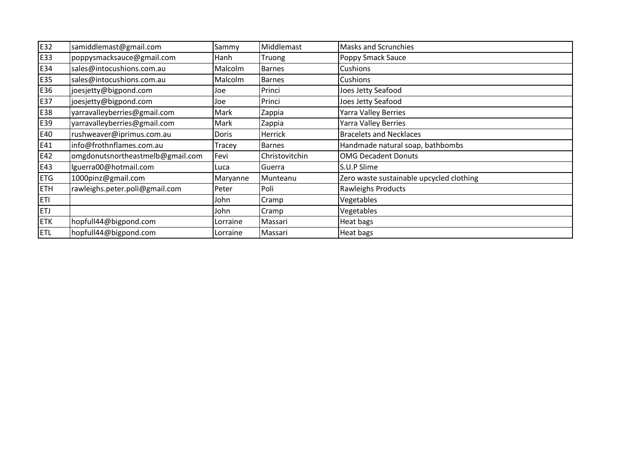| E32        | samiddlemast@gmail.com           | Sammy    | Middlemast     | <b>Masks and Scrunchies</b>              |
|------------|----------------------------------|----------|----------------|------------------------------------------|
| E33        | poppysmacksauce@gmail.com        | Hanh     | Truong         | Poppy Smack Sauce                        |
| E34        | sales@intocushions.com.au        | Malcolm  | <b>Barnes</b>  | Cushions                                 |
| E35        | sales@intocushions.com.au        | Malcolm  | <b>Barnes</b>  | Cushions                                 |
| E36        | joesjetty@bigpond.com            | Joe      | Princi         | Joes Jetty Seafood                       |
| E37        | joesjetty@bigpond.com            | Joe      | Princi         | Joes Jetty Seafood                       |
| E38        | yarravalleyberries@gmail.com     | Mark     | Zappia         | Yarra Valley Berries                     |
| E39        | yarravalleyberries@gmail.com     | Mark     | Zappia         | Yarra Valley Berries                     |
| E40        | rushweaver@iprimus.com.au        | Doris    | Herrick        | <b>Bracelets and Necklaces</b>           |
| E41        | info@frothnflames.com.au         | Tracey   | <b>Barnes</b>  | Handmade natural soap, bathbombs         |
| E42        | omgdonutsnortheastmelb@gmail.com | Fevi     | Christovitchin | <b>OMG Decadent Donuts</b>               |
| E43        | Iguerra00@hotmail.com            | Luca     | Guerra         | S.U.P Slime                              |
| <b>ETG</b> | 1000pinz@gmail.com               | Maryanne | Munteanu       | Zero waste sustainable upcycled clothing |
| <b>ETH</b> | rawleighs.peter.poli@gmail.com   | Peter    | Poli           | Rawleighs Products                       |
| ETI        |                                  | John     | Cramp          | Vegetables                               |
| <b>ETJ</b> |                                  | John     | Cramp          | Vegetables                               |
| <b>ETK</b> | hopfull44@bigpond.com            | Lorraine | Massari        | Heat bags                                |
| <b>ETL</b> | hopfull44@bigpond.com            | Lorraine | Massari        | Heat bags                                |